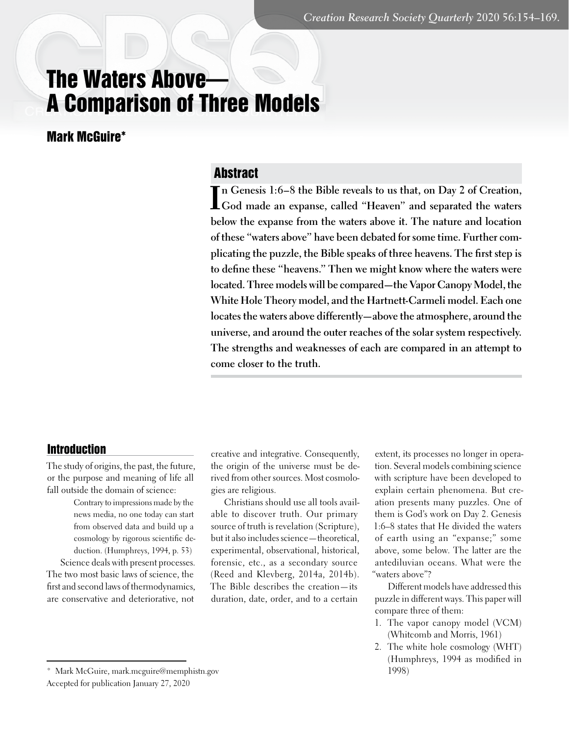# The Waters Above— A Comparison of Three Models

Mark McGuire\*

# Abstract

In Genesis 1:6–8 the Bible reveals to us that, on Day 2 of Creation, God made an expanse, called "Heaven" and separated the waters **n Genesis 1:6–8 the Bible reveals to us that, on Day 2 of Creation, below the expanse from the waters above it. The nature and location of these "waters above" have been debated for some time. Further complicating the puzzle, the Bible speaks of three heavens. The first step is to define these "heavens." Then we might know where the waters were located. Three models will be compared—the Vapor Canopy Model, the White Hole Theory model, and the Hartnett-Carmeli model. Each one locates the waters above differently—above the atmosphere, around the universe, and around the outer reaches of the solar system respectively. The strengths and weaknesses of each are compared in an attempt to come closer to the truth.**

## Introduction

The study of origins, the past, the future, or the purpose and meaning of life all fall outside the domain of science:

> Contrary to impressions made by the news media, no one today can start from observed data and build up a cosmology by rigorous scientific deduction. (Humphreys, 1994, p. 53)

Science deals with present processes. The two most basic laws of science, the first and second laws of thermodynamics, are conservative and deteriorative, not

creative and integrative. Consequently, the origin of the universe must be derived from other sources. Most cosmologies are religious.

Christians should use all tools available to discover truth. Our primary source of truth is revelation (Scripture), but it also includes science—theoretical, experimental, observational, historical, forensic, etc., as a secondary source (Reed and Klevberg, 2014a, 2014b). The Bible describes the creation—its duration, date, order, and to a certain

extent, its processes no longer in operation. Several models combining science with scripture have been developed to explain certain phenomena. But creation presents many puzzles. One of them is God's work on Day 2. Genesis 1:6–8 states that He divided the waters of earth using an "expanse;" some above, some below. The latter are the antediluvian oceans. What were the "waters above"?

Different models have addressed this puzzle in different ways. This paper will compare three of them:

- 1. The vapor canopy model (VCM) (Whitcomb and Morris, 1961)
- 2. The white hole cosmology (WHT) (Humphreys, 1994 as modified in 1998)

<sup>\*</sup> Mark McGuire, mark.mcguire@memphistn.gov Accepted for publication January 27, 2020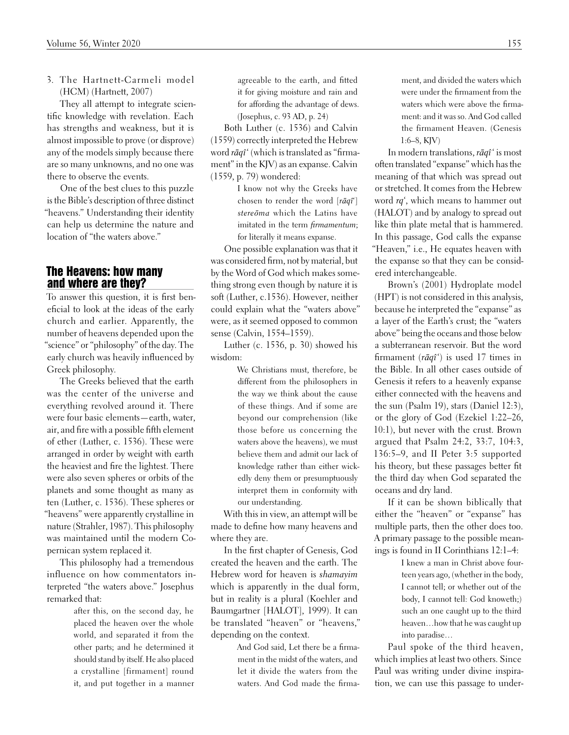3. The Hartnett-Carmeli model (HCM) (Hartnett, 2007)

They all attempt to integrate scientific knowledge with revelation. Each has strengths and weakness, but it is almost impossible to prove (or disprove) any of the models simply because there are so many unknowns, and no one was there to observe the events.

One of the best clues to this puzzle is the Bible's description of three distinct "heavens." Understanding their identity can help us determine the nature and location of "the waters above."

# The Heavens: how many and where are they?

To answer this question, it is first beneficial to look at the ideas of the early church and earlier. Apparently, the number of heavens depended upon the "science" or "philosophy" of the day. The early church was heavily influenced by Greek philosophy.

The Greeks believed that the earth was the center of the universe and everything revolved around it. There were four basic elements—earth, water, air, and fire with a possible fifth element of ether (Luther, c. 1536). These were arranged in order by weight with earth the heaviest and fire the lightest. There were also seven spheres or orbits of the planets and some thought as many as ten (Luther, c. 1536). These spheres or "heavens" were apparently crystalline in nature (Strahler, 1987). This philosophy was maintained until the modern Copernican system replaced it.

This philosophy had a tremendous influence on how commentators interpreted "the waters above." Josephus remarked that:

> after this, on the second day, he placed the heaven over the whole world, and separated it from the other parts; and he determined it should stand by itself. He also placed a crystalline [firmament] round it, and put together in a manner

agreeable to the earth, and fitted it for giving moisture and rain and for affording the advantage of dews. (Josephus, c. 93 AD, p. 24)

Both Luther (c. 1536) and Calvin (1559) correctly interpreted the Hebrew word *rāqî*' (which is translated as "firmament" in the KJV) as an expanse. Calvin (1559, p. 79) wondered:

> I know not why the Greeks have chosen to render the word [*rāqî*'] *stereōma* which the Latins have imitated in the term *firmamentum*; for literally it means expanse.

One possible explanation was that it was considered firm, not by material, but by the Word of God which makes something strong even though by nature it is soft (Luther, c.1536). However, neither could explain what the "waters above" were, as it seemed opposed to common sense (Calvin, 1554–1559).

Luther (c. 1536, p. 30) showed his wisdom:

> We Christians must, therefore, be different from the philosophers in the way we think about the cause of these things. And if some are beyond our comprehension (like those before us concerning the waters above the heavens), we must believe them and admit our lack of knowledge rather than either wickedly deny them or presumptuously interpret them in conformity with our understanding.

With this in view, an attempt will be made to define how many heavens and where they are.

In the first chapter of Genesis, God created the heaven and the earth. The Hebrew word for heaven is *shamayim*  which is apparently in the dual form, but in reality is a plural (Koehler and Baumgartner [HALOT], 1999). It can be translated "heaven" or "heavens," depending on the context.

> And God said, Let there be a firmament in the midst of the waters, and let it divide the waters from the waters. And God made the firma-

ment, and divided the waters which were under the firmament from the waters which were above the firmament: and it was so. And God called the firmament Heaven. (Genesis 1:6–8, KJV)

In modern translations, *rāqî*' is most often translated "expanse" which has the meaning of that which was spread out or stretched. It comes from the Hebrew word *rq'*, which means to hammer out (HALOT) and by analogy to spread out like thin plate metal that is hammered. In this passage, God calls the expanse "Heaven," i.e., He equates heaven with the expanse so that they can be considered interchangeable.

Brown's (2001) Hydroplate model (HPT) is not considered in this analysis, because he interpreted the "expanse" as a layer of the Earth's crust; the "waters above" being the oceans and those below a subterranean reservoir. But the word firmament (*rāqî*') is used 17 times in the Bible. In all other cases outside of Genesis it refers to a heavenly expanse either connected with the heavens and the sun (Psalm 19), stars (Daniel 12:3), or the glory of God (Ezekiel 1:22–26, 10:1), but never with the crust. Brown argued that Psalm 24:2, 33:7, 104:3, 136:5–9, and II Peter 3:5 supported his theory, but these passages better fit the third day when God separated the oceans and dry land.

If it can be shown biblically that either the "heaven" or "expanse" has multiple parts, then the other does too. A primary passage to the possible meanings is found in II Corinthians 12:1–4:

> I knew a man in Christ above fourteen years ago, (whether in the body, I cannot tell; or whether out of the body, I cannot tell: God knoweth;) such an one caught up to the third heaven…how that he was caught up into paradise…

Paul spoke of the third heaven, which implies at least two others. Since Paul was writing under divine inspiration, we can use this passage to under-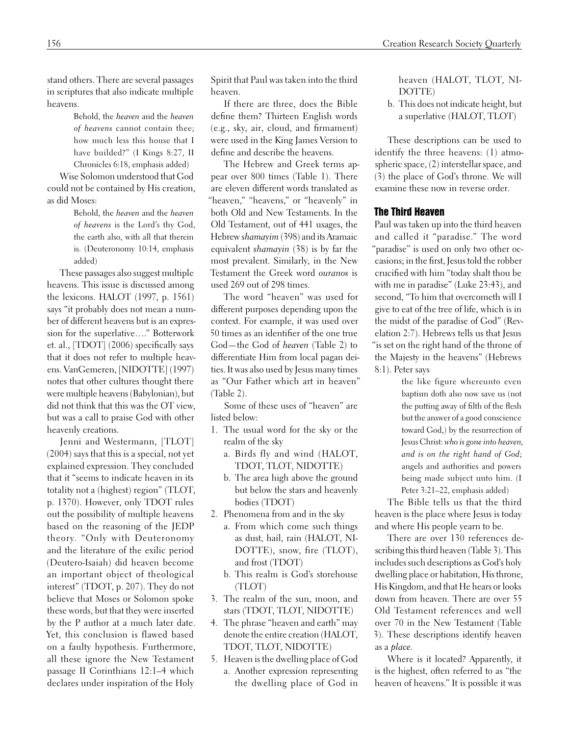stand others. There are several passages in scriptures that also indicate multiple heavens.

> Behold, the *heaven* and the *heaven of heavens* cannot contain thee; how much less this house that I have builded?" (I Kings 8:27, II Chronicles 6:18, emphasis added)

Wise Solomon understood that God could not be contained by His creation, as did Moses:

> Behold, the *heaven* and the *heaven of heavens* is the Lord's thy God, the earth also, with all that therein is. (Deuteronomy 10:14, emphasis added)

These passages also suggest multiple heavens. This issue is discussed among the lexicons. HALOT (1997, p. 1561) says "it probably does not mean a number of different heavens but is an expression for the superlative…." Botterwork et. al., [TDOT] (2006) specifically says that it does not refer to multiple heavens. VanGemeren, [NIDOTTE] (1997) notes that other cultures thought there were multiple heavens (Babylonian), but did not think that this was the OT view, but was a call to praise God with other heavenly creations.

Jenni and Westermann, [TLOT] (2004) says that this is a special, not yet explained expression. They concluded that it "seems to indicate heaven in its totality not a (highest) region" (TLOT, p. 1370). However, only TDOT rules out the possibility of multiple heavens based on the reasoning of the JEDP theory. "Only with Deuteronomy and the literature of the exilic period (Deutero-Isaiah) did heaven become an important object of theological interest" (TDOT, p. 207). They do not believe that Moses or Solomon spoke these words, but that they were inserted by the P author at a much later date. Yet, this conclusion is flawed based on a faulty hypothesis. Furthermore, all these ignore the New Testament passage II Corinthians 12:1–4 which declares under inspiration of the Holy Spirit that Paul was taken into the third heaven.

If there are three, does the Bible define them? Thirteen English words (e.g., sky, air, cloud, and firmament) were used in the King James Version to define and describe the heavens.

The Hebrew and Greek terms appear over 800 times (Table 1). There are eleven different words translated as "heaven," "heavens," or "heavenly" in both Old and New Testaments. In the Old Testament, out of 441 usages, the Hebrew s*hamayim* (398) and its Aramaic equivalent *shamayin* (38) is by far the most prevalent. Similarly, in the New Testament the Greek word *ouranos* is used 269 out of 298 times.

The word "heaven" was used for different purposes depending upon the context. For example, it was used over 50 times as an identifier of the one true God—the God of *heaven* (Table 2) to differentiate Him from local pagan deities. It was also used by Jesus many times as "Our Father which art in heaven" (Table 2).

Some of these uses of "heaven" are listed below:

- 1. The usual word for the sky or the realm of the sky
	- a. Birds fly and wind (HALOT, TDOT, TLOT, NIDOTTE)
	- b. The area high above the ground but below the stars and heavenly bodies (TDOT)
- 2. Phenomena from and in the sky
	- a. From which come such things as dust, hail, rain (HALOT, NI-DOTTE), snow, fire (TLOT), and frost (TDOT)
	- b. This realm is God's storehouse (TLOT)
- 3. The realm of the sun, moon, and stars (TDOT, TLOT, NIDOTTE)
- 4. The phrase "heaven and earth" may denote the entire creation (HALOT, TDOT, TLOT, NIDOTTE)
- 5. Heaven is the dwelling place of God a. Another expression representing the dwelling place of God in

heaven (HALOT, TLOT, NI-DOTTE)

b. This does not indicate height, but a superlative (HALOT, TLOT)

These descriptions can be used to identify the three heavens: (1) atmospheric space, (2) interstellar space, and (3) the place of God's throne. We will examine these now in reverse order.

#### The Third Heaven

Paul was taken up into the third heaven and called it "paradise." The word "paradise" is used on only two other occasions; in the first, Jesus told the robber crucified with him "today shalt thou be with me in paradise" (Luke 23:43), and second, "To him that overcometh will I give to eat of the tree of life, which is in the midst of the paradise of God" (Revelation 2:7). Hebrews tells us that Jesus "is set on the right hand of the throne of the Majesty in the heavens" (Hebrews 8:1). Peter says

> the like figure whereunto even baptism doth also now save us (not the putting away of filth of the flesh but the answer of a good conscience toward God,) by the resurrection of Jesus Christ: *who is gone into heaven, and is on the right hand of God*; angels and authorities and powers being made subject unto him. (I Peter 3:21–22, emphasis added)

The Bible tells us that the third heaven is the place where Jesus is today and where His people yearn to be.

There are over 130 references describing this third heaven (Table 3). This includes such descriptions as God's holy dwelling place or habitation, His throne, His Kingdom, and that He hears or looks down from heaven. There are over 55 Old Testament references and well over 70 in the New Testament (Table 3). These descriptions identify heaven as a *place.*

Where is it located? Apparently, it is the highest, often referred to as "the heaven of heavens." It is possible it was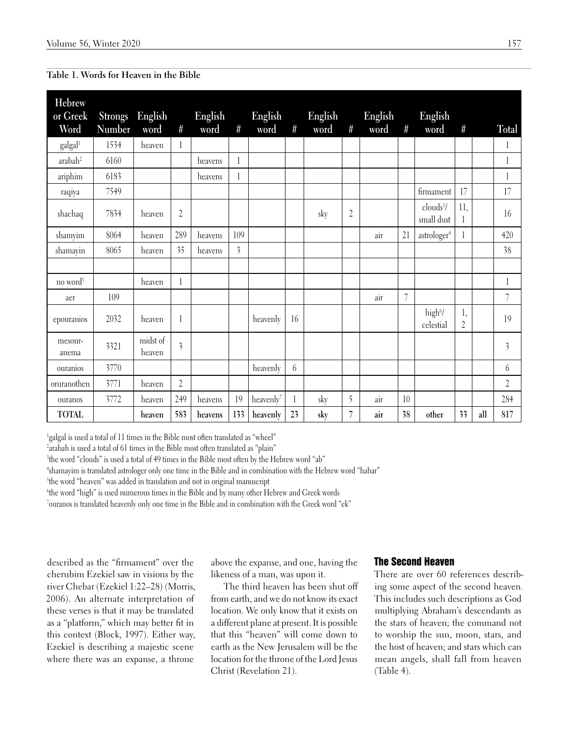| Table 1. Words for Heaven in the Bible |  |  |  |  |  |
|----------------------------------------|--|--|--|--|--|
|----------------------------------------|--|--|--|--|--|

| Hebrew<br>or Greek   | <b>Strongs</b><br>Number | English            | $#_{}$         | English | #                       | English               | $\#$ | English | $\#$           | English | #  | English                             |                      |     |                         |
|----------------------|--------------------------|--------------------|----------------|---------|-------------------------|-----------------------|------|---------|----------------|---------|----|-------------------------------------|----------------------|-----|-------------------------|
| Word                 |                          | word               |                | word    |                         | word                  |      | word    |                | word    |    | word                                | #                    |     | Total                   |
| galgall              | 1534                     | heaven             | 1              |         |                         |                       |      |         |                |         |    |                                     |                      |     | 1                       |
| arabah <sup>2</sup>  | 6160                     |                    |                | heavens | 1                       |                       |      |         |                |         |    |                                     |                      |     | $\mathbf{l}$            |
| ariphim              | 6183                     |                    |                | heavens | 1                       |                       |      |         |                |         |    |                                     |                      |     | 1                       |
| raqiya               | 7549                     |                    |                |         |                         |                       |      |         |                |         |    | firmament                           | 17                   |     | 17                      |
| shachaq              | 7834                     | heaven             | $\overline{2}$ |         |                         |                       |      | sky     | $\overline{c}$ |         |    | clouds <sup>3</sup> /<br>small dust | 11,<br>1             |     | 16                      |
| shamyim              | 8064                     | heaven             | 289            | heavens | 109                     |                       |      |         |                | air     | 21 | astrologer <sup>4</sup>             |                      |     | 420                     |
| shamayin             | 8065                     | heaven             | 35             | heavens | $\overline{\mathbf{3}}$ |                       |      |         |                |         |    |                                     |                      |     | 38                      |
|                      |                          |                    |                |         |                         |                       |      |         |                |         |    |                                     |                      |     |                         |
| no word <sup>5</sup> |                          | heaven             | 1              |         |                         |                       |      |         |                |         |    |                                     |                      |     | 1                       |
| aer                  | 109                      |                    |                |         |                         |                       |      |         |                | air     | 7  |                                     |                      |     | 7                       |
| epouranios           | 2032                     | heaven             |                |         |                         | heavenly              | 16   |         |                |         |    | high <sup>6</sup> /<br>celestial    | 1,<br>$\overline{2}$ |     | 19                      |
| mesour-<br>anema     | 3321                     | midst of<br>heaven | $\overline{3}$ |         |                         |                       |      |         |                |         |    |                                     |                      |     | $\overline{\mathbf{3}}$ |
| ouranios             | 3770                     |                    |                |         |                         | heavenly              | 6    |         |                |         |    |                                     |                      |     | 6                       |
| oruranothen          | 3771                     | heaven             | $\overline{2}$ |         |                         |                       |      |         |                |         |    |                                     |                      |     | $\overline{2}$          |
| ouranos              | 3772                     | heaven             | 249            | heavens | 19                      | heavenly <sup>7</sup> |      | sky     | 5              | air     | 10 |                                     |                      |     | 284                     |
| <b>TOTAL</b>         |                          | heaven             | 583            | heavens | 133                     | heavenly              | 23   | sky     | $\overline{7}$ | air     | 38 | other                               | 33                   | all | 817                     |

<sup>1</sup>galgal is used a total of 11 times in the Bible most often translated as "wheel"

2 arabah is used a total of 61 times in the Bible most often translated as "plain"

3 the word "clouds" is used a total of 49 times in the Bible most often by the Hebrew word "ab"

4 shamayim is translated astrologer only one time in the Bible and in combination with the Hebrew word "habar"

5 the word "heaven" was added in translation and not in original manuscript

6 the word "high" is used numerous times in the Bible and by many other Hebrew and Greek words

7 ouranos is translated heavenly only one time in the Bible and in combination with the Greek word "ek"

described as the "firmament" over the cherubim Ezekiel saw in visions by the river Chebar (Ezekiel 1:22–28) (Morris, 2006). An alternate interpretation of these verses is that it may be translated as a "platform," which may better fit in this context (Block, 1997). Either way, Ezekiel is describing a majestic scene where there was an expanse, a throne

above the expanse, and one, having the likeness of a man, was upon it.

The third heaven has been shut off from earth, and we do not know its exact location. We only know that it exists on a different plane at present. It is possible that this "heaven" will come down to earth as the New Jerusalem will be the location for the throne of the Lord Jesus Christ (Revelation 21).

# The Second Heaven

There are over 60 references describing some aspect of the second heaven. This includes such descriptions as God multiplying Abraham's descendants as the stars of heaven; the command not to worship the sun, moon, stars, and the host of heaven; and stars which can mean angels, shall fall from heaven (Table 4).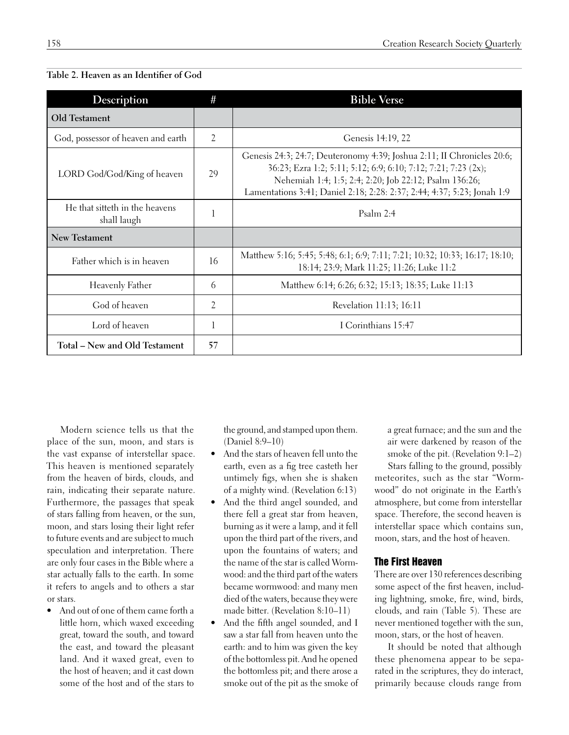| Description                                   | #  | <b>Bible Verse</b>                                                                                                                                                                                                                                                            |
|-----------------------------------------------|----|-------------------------------------------------------------------------------------------------------------------------------------------------------------------------------------------------------------------------------------------------------------------------------|
| Old Testament                                 |    |                                                                                                                                                                                                                                                                               |
| God, possessor of heaven and earth            | 2  | Genesis 14:19, 22                                                                                                                                                                                                                                                             |
| LORD God/God/King of heaven                   | 29 | Genesis 24:3; 24:7; Deuteronomy 4:39; Joshua 2:11; II Chronicles 20:6;<br>36:23; Ezra 1:2; 5:11; 5:12; 6:9; 6:10; 7:12; 7:21; 7:23 (2x);<br>Nehemiah 1:4; 1:5; 2:4; 2:20; Job 22:12; Psalm 136:26;<br>Lamentations 3:41; Daniel 2:18; 2:28: 2:37; 2:44; 4:37; 5:23; Jonah 1:9 |
| He that sitteth in the heavens<br>shall laugh | 1  | Psalm $2:4$                                                                                                                                                                                                                                                                   |
| New Testament                                 |    |                                                                                                                                                                                                                                                                               |
| Father which is in heaven                     | 16 | Matthew 5:16; 5:45; 5:48; 6:1; 6:9; 7:11; 7:21; 10:32; 10:33; 16:17; 18:10;<br>18:14; 23:9; Mark 11:25; 11:26; Luke 11:2                                                                                                                                                      |
| Heavenly Father                               | 6  | Matthew 6:14; 6:26; 6:32; 15:13; 18:35; Luke 11:13                                                                                                                                                                                                                            |
| God of heaven                                 | 2  | Revelation 11:13; 16:11                                                                                                                                                                                                                                                       |
| Lord of heaven                                | 1  | I Corinthians 15:47                                                                                                                                                                                                                                                           |
| Total – New and Old Testament                 | 57 |                                                                                                                                                                                                                                                                               |

## **Table 2. Heaven as an Identifier of God**

Modern science tells us that the place of the sun, moon, and stars is the vast expanse of interstellar space. This heaven is mentioned separately from the heaven of birds, clouds, and rain, indicating their separate nature. Furthermore, the passages that speak of stars falling from heaven, or the sun, moon, and stars losing their light refer to future events and are subject to much speculation and interpretation. There are only four cases in the Bible where a star actually falls to the earth. In some it refers to angels and to others a star or stars.

• And out of one of them came forth a little horn, which waxed exceeding great, toward the south, and toward the east, and toward the pleasant land. And it waxed great, even to the host of heaven; and it cast down some of the host and of the stars to the ground, and stamped upon them. (Daniel 8:9–10)

- • And the stars of heaven fell unto the earth, even as a fig tree casteth her untimely figs, when she is shaken of a mighty wind. (Revelation 6:13)
- And the third angel sounded, and there fell a great star from heaven, burning as it were a lamp, and it fell upon the third part of the rivers, and upon the fountains of waters; and the name of the star is called Wormwood: and the third part of the waters became wormwood: and many men died of the waters, because they were made bitter. (Revelation 8:10–11)
- And the fifth angel sounded, and I saw a star fall from heaven unto the earth: and to him was given the key of the bottomless pit. And he opened the bottomless pit; and there arose a smoke out of the pit as the smoke of

a great furnace; and the sun and the air were darkened by reason of the smoke of the pit. (Revelation 9:1–2)

Stars falling to the ground, possibly meteorites, such as the star "Wormwood" do not originate in the Earth's atmosphere, but come from interstellar space. Therefore, the second heaven is interstellar space which contains sun, moon, stars, and the host of heaven.

## The First Heaven

There are over 130 references describing some aspect of the first heaven, including lightning, smoke, fire, wind, birds, clouds, and rain (Table 5). These are never mentioned together with the sun, moon, stars, or the host of heaven.

It should be noted that although these phenomena appear to be separated in the scriptures, they do interact, primarily because clouds range from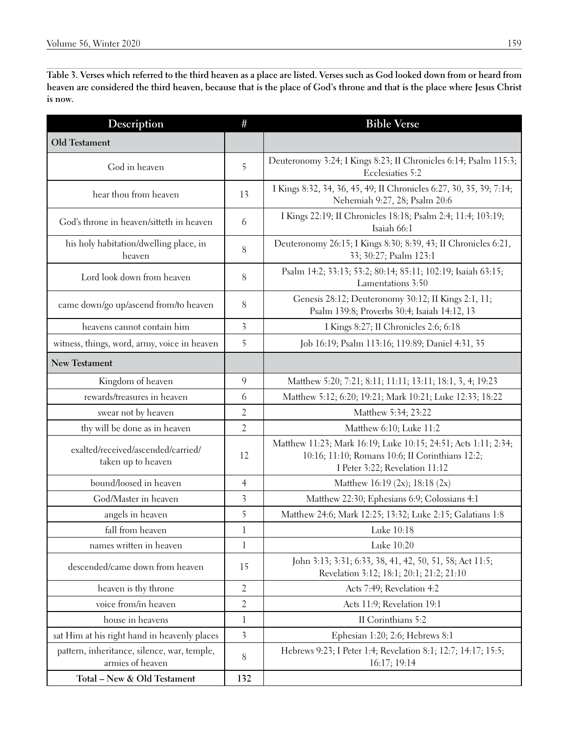**Table 3. Verses which referred to the third heaven as a place are listed. Verses such as God looked down from or heard from heaven are considered the third heaven, because that is the place of God's throne and that is the place where Jesus Christ is now.**

| <b>Description</b>                                              | #                       | <b>Bible Verse</b>                                                                                                                                  |
|-----------------------------------------------------------------|-------------------------|-----------------------------------------------------------------------------------------------------------------------------------------------------|
| Old Testament                                                   |                         |                                                                                                                                                     |
| God in heaven                                                   | 5                       | Deuteronomy 3:24; I Kings 8:23; II Chronicles 6:14; Psalm 115:3;<br>Ecclesiaties 5:2                                                                |
| hear thou from heaven                                           | 13                      | I Kings 8:32, 34, 36, 45, 49; II Chronicles 6:27, 30, 35, 39; 7:14;<br>Nehemiah 9:27, 28; Psalm 20:6                                                |
| God's throne in heaven/sitteth in heaven                        | 6                       | I Kings 22:19; II Chronicles 18:18; Psalm 2:4; 11:4; 103:19;<br>Isaiah 66:1                                                                         |
| his holy habitation/dwelling place, in<br>heaven                | $8\,$                   | Deuteronomy 26:15; I Kings 8:30; 8:39, 43; II Chronicles 6:21,<br>33; 30:27; Psalm 123:1                                                            |
| Lord look down from heaven                                      | 8                       | Psalm 14:2; 33:13; 53:2; 80:14; 85:11; 102:19; Isaiah 63:15;<br>Lamentations 3:50                                                                   |
| came down/go up/ascend from/to heaven                           | 8                       | Genesis 28:12; Deuteronomy 30:12; II Kings 2:1, 11;<br>Psalm 139:8; Proverbs 30:4; Isaiah 14:12, 13                                                 |
| heavens cannot contain him                                      | 3                       | I Kings 8:27; II Chronicles 2:6; 6:18                                                                                                               |
| witness, things, word, army, voice in heaven                    | 5                       | Job 16:19; Psalm 113:16; 119:89; Daniel 4:31, 35                                                                                                    |
| <b>New Testament</b>                                            |                         |                                                                                                                                                     |
| Kingdom of heaven                                               | 9                       | Matthew 5:20; 7:21; 8:11; 11:11; 13:11; 18:1, 3, 4; 19:23                                                                                           |
| rewards/treasures in heaven                                     | 6                       | Matthew 5:12; 6:20; 19:21; Mark 10:21; Luke 12:33; 18:22                                                                                            |
| swear not by heaven                                             | $\overline{2}$          | Matthew 5:34; 23:22                                                                                                                                 |
| thy will be done as in heaven                                   | $\overline{2}$          | Matthew 6:10; Luke 11:2                                                                                                                             |
| exalted/received/ascended/carried/<br>taken up to heaven        | 12                      | Matthew 11:23; Mark 16:19; Luke 10:15; 24:51; Acts 1:11; 2:34;<br>10:16; 11:10; Romans 10:6; II Corinthians 12:2;<br>I Peter 3:22; Revelation 11:12 |
| bound/loosed in heaven                                          | $\overline{4}$          | Matthew 16:19 (2x); 18:18 (2x)                                                                                                                      |
| God/Master in heaven                                            | $\overline{\mathbf{3}}$ | Matthew 22:30; Ephesians 6:9; Colossians 4:1                                                                                                        |
| angels in heaven                                                | 5                       | Matthew 24:6; Mark 12:25; 13:32; Luke 2:15; Galatians 1:8                                                                                           |
| fall from heaven                                                | $\mathbf{l}$            | Luke 10:18                                                                                                                                          |
| names written in heaven                                         | 1                       | Luke 10:20                                                                                                                                          |
| descended/came down from heaven                                 | 15                      | John 3:13; 3:31; 6:33, 38, 41, 42, 50, 51, 58; Act 11:5;<br>Revelation 3:12; 18:1; 20:1; 21:2; 21:10                                                |
| heaven is thy throne                                            | $\overline{2}$          | Acts 7:49; Revelation 4:2                                                                                                                           |
| voice from/in heaven                                            | $\overline{c}$          | Acts 11:9; Revelation 19:1                                                                                                                          |
| house in heavens                                                | l                       | II Corinthians 5:2                                                                                                                                  |
| sat Him at his right hand in heavenly places                    | $\overline{\mathbf{3}}$ | Ephesian 1:20; 2:6; Hebrews 8:1                                                                                                                     |
| pattern, inheritance, silence, war, temple,<br>armies of heaven | 8                       | Hebrews 9:23; I Peter 1:4; Revelation 8:1; 12:7; 14:17; 15:5;<br>16:17; 19:14                                                                       |
| Total - New & Old Testament                                     | 132                     |                                                                                                                                                     |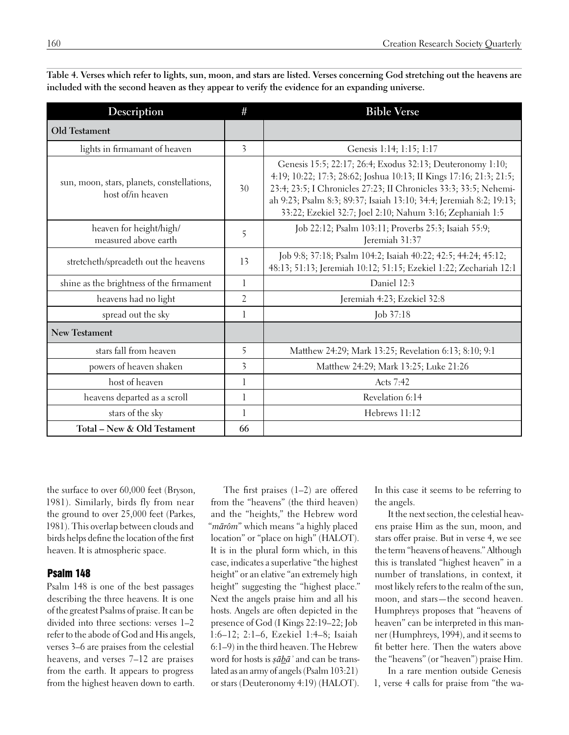| Description                                                     | #                       | <b>Bible Verse</b>                                                                                                                                                                                                                                                                                                                         |  |  |  |
|-----------------------------------------------------------------|-------------------------|--------------------------------------------------------------------------------------------------------------------------------------------------------------------------------------------------------------------------------------------------------------------------------------------------------------------------------------------|--|--|--|
| <b>Old Testament</b>                                            |                         |                                                                                                                                                                                                                                                                                                                                            |  |  |  |
| lights in firmamant of heaven                                   | $\overline{3}$          | Genesis 1:14; 1:15; 1:17                                                                                                                                                                                                                                                                                                                   |  |  |  |
| sun, moon, stars, planets, constellations,<br>host of/in heaven | 30                      | Genesis 15:5; 22:17; 26:4; Exodus 32:13; Deuteronomy 1:10;<br>4:19; 10:22; 17:3; 28:62; Joshua 10:13; II Kings 17:16; 21:3; 21:5;<br>23:4; 23:5; I Chronicles 27:23; II Chronicles 33:3; 33:5; Nehemi-<br>ah 9:23; Psalm 8:3; 89:37; Isaiah 13:10; 34:4; Jeremiah 8:2; 19:13;<br>33:22; Ezekiel 32:7; Joel 2:10; Nahum 3:16; Zephaniah 1:5 |  |  |  |
| heaven for height/high/<br>measured above earth                 | 5                       | Job 22:12; Psalm 103:11; Proverbs 25:3; Isaiah 55:9;<br>Jeremiah 31:37                                                                                                                                                                                                                                                                     |  |  |  |
| stretcheth/spreadeth out the heavens                            | 13                      | Job 9:8; 37:18; Psalm 104:2; Isaiah 40:22; 42:5; 44:24; 45:12;<br>48:13; 51:13; Jeremiah 10:12; 51:15; Ezekiel 1:22; Zechariah 12:1                                                                                                                                                                                                        |  |  |  |
| shine as the brightness of the firmament                        | 1                       | Daniel 12:3                                                                                                                                                                                                                                                                                                                                |  |  |  |
| heavens had no light                                            | $\overline{2}$          | Jeremiah 4:23; Ezekiel 32:8                                                                                                                                                                                                                                                                                                                |  |  |  |
| spread out the sky                                              | 1                       | Job 37:18                                                                                                                                                                                                                                                                                                                                  |  |  |  |
| <b>New Testament</b>                                            |                         |                                                                                                                                                                                                                                                                                                                                            |  |  |  |
| stars fall from heaven                                          | 5                       | Matthew 24:29; Mark 13:25; Revelation 6:13; 8:10; 9:1                                                                                                                                                                                                                                                                                      |  |  |  |
| powers of heaven shaken                                         | $\overline{\mathbf{3}}$ | Matthew 24:29; Mark 13:25; Luke 21:26                                                                                                                                                                                                                                                                                                      |  |  |  |
| host of heaven                                                  | 1                       | Acts 7:42                                                                                                                                                                                                                                                                                                                                  |  |  |  |
| heavens departed as a scroll                                    | 1                       | Revelation 6:14                                                                                                                                                                                                                                                                                                                            |  |  |  |
| stars of the sky                                                | 1                       | Hebrews 11:12                                                                                                                                                                                                                                                                                                                              |  |  |  |
| Total - New & Old Testament                                     | 66                      |                                                                                                                                                                                                                                                                                                                                            |  |  |  |

**Table 4. Verses which refer to lights, sun, moon, and stars are listed. Verses concerning God stretching out the heavens are included with the second heaven as they appear to verify the evidence for an expanding universe.**

the surface to over 60,000 feet (Bryson, 1981). Similarly, birds fly from near the ground to over 25,000 feet (Parkes, 1981). This overlap between clouds and birds helps define the location of the first heaven. It is atmospheric space.

#### Psalm 148

Psalm 148 is one of the best passages describing the three heavens. It is one of the greatest Psalms of praise. It can be divided into three sections: verses 1–2 refer to the abode of God and His angels, verses 3–6 are praises from the celestial heavens, and verses 7–12 are praises from the earth. It appears to progress from the highest heaven down to earth.

The first praises (1–2) are offered from the "heavens" (the third heaven) and the "heights," the Hebrew word "*mārôm*" which means "a highly placed location" or "place on high" (HALOT). It is in the plural form which, in this case, indicates a superlative "the highest height" or an elative "an extremely high height" suggesting the "highest place." Next the angels praise him and all his hosts. Angels are often depicted in the presence of God (I Kings 22:19–22; Job 1:6–12; 2:1–6, Ezekiel 1:4–8; Isaiah 6:1–9) in the third heaven. The Hebrew word for hosts is *ṣābāʾ* and can be translated as an army of angels (Psalm 103:21) or stars (Deuteronomy 4:19) (HALOT). In this case it seems to be referring to the angels.

It the next section, the celestial heavens praise Him as the sun, moon, and stars offer praise. But in verse 4, we see the term "heavens of heavens." Although this is translated "highest heaven" in a number of translations, in context, it most likely refers to the realm of the sun, moon, and stars—the second heaven. Humphreys proposes that "heavens of heaven" can be interpreted in this manner (Humphreys, 1994), and it seems to fit better here. Then the waters above the "heavens" (or "heaven") praise Him.

In a rare mention outside Genesis 1, verse 4 calls for praise from "the wa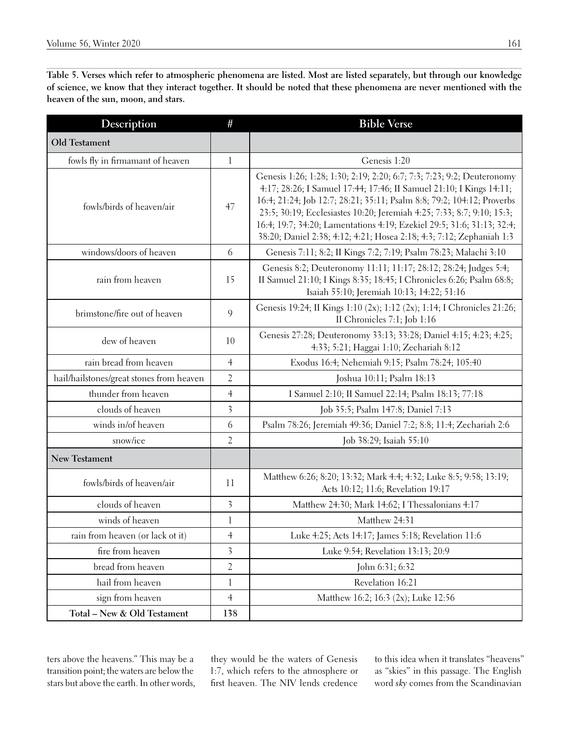**Table 5. Verses which refer to atmospheric phenomena are listed. Most are listed separately, but through our knowledge of science, we know that they interact together. It should be noted that these phenomena are never mentioned with the heaven of the sun, moon, and stars.** 

| Description                              | #                       | <b>Bible Verse</b>                                                                                                                                                                                                                                                                                                                                                                                                                                  |
|------------------------------------------|-------------------------|-----------------------------------------------------------------------------------------------------------------------------------------------------------------------------------------------------------------------------------------------------------------------------------------------------------------------------------------------------------------------------------------------------------------------------------------------------|
| Old Testament                            |                         |                                                                                                                                                                                                                                                                                                                                                                                                                                                     |
| fowls fly in firmamant of heaven         | $\mathbf{l}$            | Genesis 1:20                                                                                                                                                                                                                                                                                                                                                                                                                                        |
| fowls/birds of heaven/air                | 47                      | Genesis 1:26; 1:28; 1:30; 2:19; 2:20; 6:7; 7:3; 7:23; 9:2; Deuteronomy<br>4:17; 28:26; I Samuel 17:44; 17:46; II Samuel 21:10; I Kings 14:11;<br>16:4; 21:24; Job 12:7; 28:21; 35:11; Psalm 8:8; 79:2; 104:12; Proverbs<br>23:5; 30:19; Ecclesiastes 10:20; Jeremiah 4:25; 7:33; 8:7; 9:10; 15:3;<br>16:4; 19:7; 34:20; Lamentations 4:19; Ezekiel 29:5; 31:6; 31:13; 32:4;<br>38:20; Daniel 2:38; 4:12; 4:21; Hosea 2:18; 4:3; 7:12; Zephaniah 1:3 |
| windows/doors of heaven                  | 6                       | Genesis 7:11; 8:2; II Kings 7:2; 7:19; Psalm 78:23; Malachi 3:10                                                                                                                                                                                                                                                                                                                                                                                    |
| rain from heaven                         | 15                      | Genesis 8:2; Deuteronomy 11:11; 11:17; 28:12; 28:24; Judges 5:4;<br>II Samuel 21:10; I Kings 8:35; 18:45; I Chronicles 6:26; Psalm 68:8;<br>Isaiah 55:10; Jeremiah 10:13; 14:22; 51:16                                                                                                                                                                                                                                                              |
| brimstone/fire out of heaven             | 9                       | Genesis 19:24; II Kings 1:10 (2x); 1:12 (2x); 1:14; I Chronicles 21:26;<br>II Chronicles 7:1; Job 1:16                                                                                                                                                                                                                                                                                                                                              |
| dew of heaven                            | 10                      | Genesis 27:28; Deuteronomy 33:13; 33:28; Daniel 4:15; 4:23; 4:25;<br>4:33; 5:21; Haggai 1:10; Zechariah 8:12                                                                                                                                                                                                                                                                                                                                        |
| rain bread from heaven                   | $\overline{4}$          | Exodus 16:4; Nehemiah 9:15; Psalm 78:24; 105:40                                                                                                                                                                                                                                                                                                                                                                                                     |
| hail/hailstones/great stones from heaven | $\overline{2}$          | Joshua 10:11; Psalm 18:13                                                                                                                                                                                                                                                                                                                                                                                                                           |
| thunder from heaven                      | $\overline{4}$          | I Samuel 2:10; II Samuel 22:14; Psalm 18:13; 77:18                                                                                                                                                                                                                                                                                                                                                                                                  |
| clouds of heaven                         | $\overline{\mathbf{3}}$ | Job 35:5; Psalm 147:8; Daniel 7:13                                                                                                                                                                                                                                                                                                                                                                                                                  |
| winds in/of heaven                       | 6                       | Psalm 78:26; Jeremiah 49:36; Daniel 7:2; 8:8; 11:4; Zechariah 2:6                                                                                                                                                                                                                                                                                                                                                                                   |
| snow/ice                                 | 2                       | Job 38:29; Isaiah 55:10                                                                                                                                                                                                                                                                                                                                                                                                                             |
| <b>New Testament</b>                     |                         |                                                                                                                                                                                                                                                                                                                                                                                                                                                     |
| fowls/birds of heaven/air                | 11                      | Matthew 6:26; 8:20; 13:32; Mark 4:4; 4:32; Luke 8:5; 9:58; 13:19;<br>Acts 10:12; 11:6; Revelation 19:17                                                                                                                                                                                                                                                                                                                                             |
| clouds of heaven                         | $\overline{\mathbf{3}}$ | Matthew 24:30; Mark 14:62; I Thessalonians 4:17                                                                                                                                                                                                                                                                                                                                                                                                     |
| winds of heaven                          | $\mathbf{l}$            | Matthew 24:31                                                                                                                                                                                                                                                                                                                                                                                                                                       |
| rain from heaven (or lack ot it)         | $\overline{4}$          | Luke 4:25; Acts 14:17; James 5:18; Revelation 11:6                                                                                                                                                                                                                                                                                                                                                                                                  |
| fire from heaven                         | $\overline{\mathbf{3}}$ | Luke 9:54; Revelation 13:13; 20:9                                                                                                                                                                                                                                                                                                                                                                                                                   |
| bread from heaven                        | $\overline{2}$          | John 6:31; 6:32                                                                                                                                                                                                                                                                                                                                                                                                                                     |
| hail from heaven                         | 1                       | Revelation 16:21                                                                                                                                                                                                                                                                                                                                                                                                                                    |
| sign from heaven                         | $\overline{4}$          | Matthew 16:2; 16:3 (2x); Luke 12:56                                                                                                                                                                                                                                                                                                                                                                                                                 |
| Total - New & Old Testament              | 138                     |                                                                                                                                                                                                                                                                                                                                                                                                                                                     |

ters above the heavens." This may be a transition point; the waters are below the stars but above the earth. In other words, they would be the waters of Genesis 1:7, which refers to the atmosphere or first heaven. The NIV lends credence

to this idea when it translates "heavens" as "skies" in this passage. The English word *sky* comes from the Scandinavian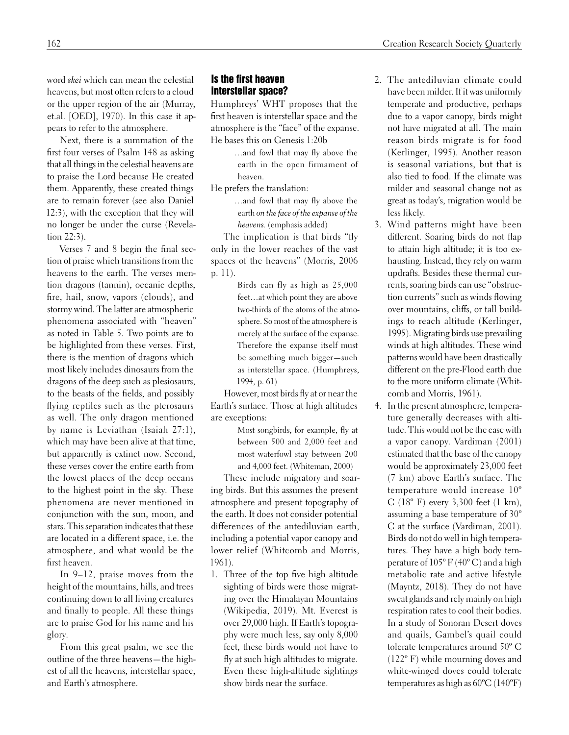word *skei* which can mean the celestial heavens, but most often refers to a cloud or the upper region of the air (Murray, et.al. [OED], 1970). In this case it appears to refer to the atmosphere.

Next, there is a summation of the first four verses of Psalm 148 as asking that all things in the celestial heavens are to praise the Lord because He created them. Apparently, these created things are to remain forever (see also Daniel 12:3), with the exception that they will no longer be under the curse (Revelation 22:3).

Verses 7 and 8 begin the final section of praise which transitions from the heavens to the earth. The verses mention dragons (tannin), oceanic depths, fire, hail, snow, vapors (clouds), and stormy wind. The latter are atmospheric phenomena associated with "heaven" as noted in Table 5. Two points are to be highlighted from these verses. First, there is the mention of dragons which most likely includes dinosaurs from the dragons of the deep such as plesiosaurs, to the beasts of the fields, and possibly flying reptiles such as the pterosaurs as well. The only dragon mentioned by name is Leviathan (Isaiah 27:1), which may have been alive at that time, but apparently is extinct now. Second, these verses cover the entire earth from the lowest places of the deep oceans to the highest point in the sky. These phenomena are never mentioned in conjunction with the sun, moon, and stars. This separation indicates that these are located in a different space, i.e. the atmosphere, and what would be the first heaven.

In 9–12, praise moves from the height of the mountains, hills, and trees continuing down to all living creatures and finally to people. All these things are to praise God for his name and his glory.

From this great psalm, we see the outline of the three heavens—the highest of all the heavens, interstellar space, and Earth's atmosphere.

# Is the first heaven interstellar space?

Humphreys' WHT proposes that the first heaven is interstellar space and the atmosphere is the "face" of the expanse. He bases this on Genesis 1:20b

> …and fowl that may fly above the earth in the open firmament of heaven.

He prefers the translation:

…and fowl that may fly above the earth *on the face of the expanse of the heavens.* (emphasis added)

The implication is that birds "fly only in the lower reaches of the vast spaces of the heavens" (Morris, 2006 p. 11).

> Birds can fly as high as 25,000 feet…at which point they are above two-thirds of the atoms of the atmosphere. So most of the atmosphere is merely at the surface of the expanse. Therefore the expanse itself must be something much bigger—such as interstellar space. (Humphreys, 1994, p. 61)

However, most birds fly at or near the Earth's surface. Those at high altitudes are exceptions:

> Most songbirds, for example, fly at between 500 and 2,000 feet and most waterfowl stay between 200 and 4,000 feet. (Whiteman, 2000)

These include migratory and soaring birds. But this assumes the present atmosphere and present topography of the earth. It does not consider potential differences of the antediluvian earth, including a potential vapor canopy and lower relief (Whitcomb and Morris, 1961).

1. Three of the top five high altitude sighting of birds were those migrating over the Himalayan Mountains (Wikipedia, 2019). Mt. Everest is over 29,000 high. If Earth's topography were much less, say only 8,000 feet, these birds would not have to fly at such high altitudes to migrate. Even these high-altitude sightings show birds near the surface.

- 2. The antediluvian climate could have been milder. If it was uniformly temperate and productive, perhaps due to a vapor canopy, birds might not have migrated at all. The main reason birds migrate is for food (Kerlinger, 1995). Another reason is seasonal variations, but that is also tied to food. If the climate was milder and seasonal change not as great as today's, migration would be less likely.
- 3. Wind patterns might have been different. Soaring birds do not flap to attain high altitude; it is too exhausting. Instead, they rely on warm updrafts. Besides these thermal currents, soaring birds can use "obstruction currents" such as winds flowing over mountains, cliffs, or tall buildings to reach altitude (Kerlinger, 1995). Migrating birds use prevailing winds at high altitudes. These wind patterns would have been drastically different on the pre-Flood earth due to the more uniform climate (Whitcomb and Morris, 1961).
- 4. In the present atmosphere, temperature generally decreases with altitude. This would not be the case with a vapor canopy. Vardiman (2001) estimated that the base of the canopy would be approximately 23,000 feet (7 km) above Earth's surface. The temperature would increase 10º C (18º F) every 3,300 feet (1 km), assuming a base temperature of 30º C at the surface (Vardiman, 2001). Birds do not do well in high temperatures. They have a high body temperature of 105º F (40º C) and a high metabolic rate and active lifestyle (Mayntz, 2018). They do not have sweat glands and rely mainly on high respiration rates to cool their bodies. In a study of Sonoran Desert doves and quails, Gambel's quail could tolerate temperatures around 50º C (122º F) while mourning doves and white-winged doves could tolerate temperatures as high as 60ºC (140ºF)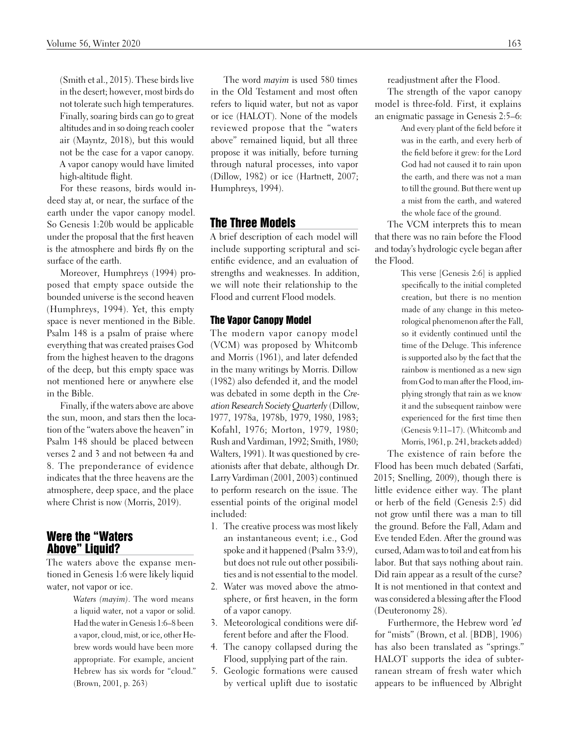(Smith et al., 2015). These birds live in the desert; however, most birds do not tolerate such high temperatures. Finally, soaring birds can go to great altitudes and in so doing reach cooler air (Mayntz, 2018), but this would not be the case for a vapor canopy. A vapor canopy would have limited high-altitude flight.

For these reasons, birds would indeed stay at, or near, the surface of the earth under the vapor canopy model. So Genesis 1:20b would be applicable under the proposal that the first heaven is the atmosphere and birds fly on the surface of the earth.

Moreover, Humphreys (1994) proposed that empty space outside the bounded universe is the second heaven (Humphreys, 1994). Yet, this empty space is never mentioned in the Bible. Psalm 148 is a psalm of praise where everything that was created praises God from the highest heaven to the dragons of the deep, but this empty space was not mentioned here or anywhere else in the Bible.

Finally, if the waters above are above the sun, moon, and stars then the location of the "waters above the heaven" in Psalm 148 should be placed between verses 2 and 3 and not between 4a and 8. The preponderance of evidence indicates that the three heavens are the atmosphere, deep space, and the place where Christ is now (Morris, 2019).

# Were the "Waters Above" Liquid?

The waters above the expanse mentioned in Genesis 1:6 were likely liquid water, not vapor or ice.

> *Waters (mayim)*. The word means a liquid water, not a vapor or solid. Had the water in Genesis 1:6–8 been a vapor, cloud, mist, or ice, other Hebrew words would have been more appropriate. For example, ancient Hebrew has six words for "cloud." (Brown, 2001, p. 263)

The word *mayim* is used 580 times in the Old Testament and most often refers to liquid water, but not as vapor or ice (HALOT). None of the models reviewed propose that the "waters above" remained liquid, but all three propose it was initially, before turning through natural processes, into vapor (Dillow, 1982) or ice (Hartnett, 2007; Humphreys, 1994).

# The Three Models

A brief description of each model will include supporting scriptural and scientific evidence, and an evaluation of strengths and weaknesses. In addition, we will note their relationship to the Flood and current Flood models.

#### The Vapor Canopy Model

The modern vapor canopy model (VCM) was proposed by Whitcomb and Morris (1961), and later defended in the many writings by Morris. Dillow (1982) also defended it, and the model was debated in some depth in the *Creation Research Society Quarterly* (Dillow, 1977, 1978a, 1978b, 1979, 1980, 1983; Kofahl, 1976; Morton, 1979, 1980; Rush and Vardiman, 1992; Smith, 1980; Walters, 1991). It was questioned by creationists after that debate, although Dr. Larry Vardiman (2001, 2003) continued to perform research on the issue. The essential points of the original model included:

- 1. The creative process was most likely an instantaneous event; i.e., God spoke and it happened (Psalm 33:9), but does not rule out other possibilities and is not essential to the model.
- 2. Water was moved above the atmosphere, or first heaven, in the form of a vapor canopy.
- 3. Meteorological conditions were different before and after the Flood.
- 4. The canopy collapsed during the Flood, supplying part of the rain.
- 5. Geologic formations were caused by vertical uplift due to isostatic

readjustment after the Flood.

The strength of the vapor canopy model is three-fold. First, it explains an enigmatic passage in Genesis 2:5–6:

> And every plant of the field before it was in the earth, and every herb of the field before it grew: for the Lord God had not caused it to rain upon the earth, and there was not a man to till the ground. But there went up a mist from the earth, and watered the whole face of the ground.

The VCM interprets this to mean that there was no rain before the Flood and today's hydrologic cycle began after the Flood.

> This verse [Genesis 2:6] is applied specifically to the initial completed creation, but there is no mention made of any change in this meteorological phenomenon after the Fall, so it evidently continued until the time of the Deluge. This inference is supported also by the fact that the rainbow is mentioned as a new sign from God to man after the Flood, implying strongly that rain as we know it and the subsequent rainbow were experienced for the first time then (Genesis 9:11–17). (Whitcomb and Morris, 1961, p. 241, brackets added)

The existence of rain before the Flood has been much debated (Sarfati, 2015; Snelling, 2009), though there is little evidence either way. The plant or herb of the field (Genesis 2:5) did not grow until there was a man to till the ground. Before the Fall, Adam and Eve tended Eden. After the ground was cursed, Adam was to toil and eat from his labor. But that says nothing about rain. Did rain appear as a result of the curse? It is not mentioned in that context and was considered a blessing after the Flood (Deuteronomy 28).

Furthermore, the Hebrew word *'ed* for "mists" (Brown, et al. [BDB], 1906) has also been translated as "springs." HALOT supports the idea of subterranean stream of fresh water which appears to be influenced by Albright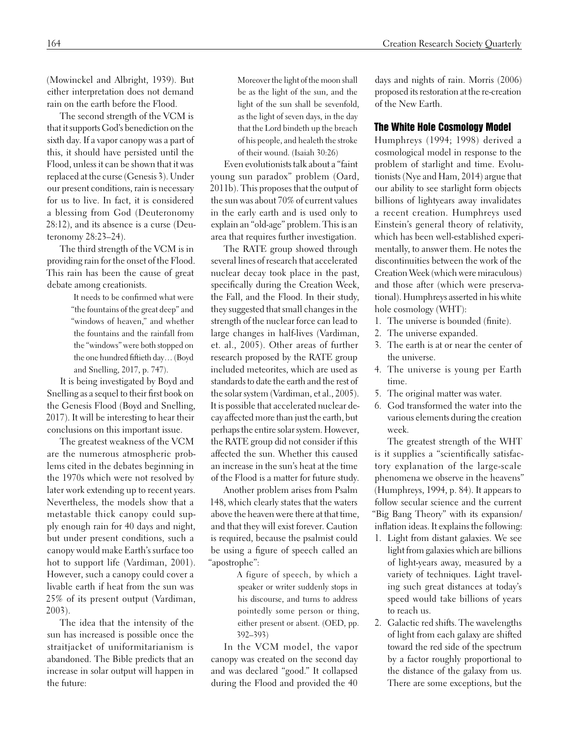(Mowinckel and Albright, 1939). But either interpretation does not demand rain on the earth before the Flood.

The second strength of the VCM is that it supports God's benediction on the sixth day. If a vapor canopy was a part of this, it should have persisted until the Flood, unless it can be shown that it was replaced at the curse (Genesis 3). Under our present conditions, rain is necessary for us to live. In fact, it is considered a blessing from God (Deuteronomy 28:12), and its absence is a curse (Deuteronomy 28:23–24).

The third strength of the VCM is in providing rain for the onset of the Flood. This rain has been the cause of great debate among creationists.

> It needs to be confirmed what were "the fountains of the great deep" and "windows of heaven," and whether the fountains and the rainfall from the "windows" were both stopped on the one hundred fiftieth day… (Boyd and Snelling, 2017, p. 747).

It is being investigated by Boyd and Snelling as a sequel to their first book on the Genesis Flood (Boyd and Snelling, 2017). It will be interesting to hear their conclusions on this important issue.

The greatest weakness of the VCM are the numerous atmospheric problems cited in the debates beginning in the 1970s which were not resolved by later work extending up to recent years. Nevertheless, the models show that a metastable thick canopy could supply enough rain for 40 days and night, but under present conditions, such a canopy would make Earth's surface too hot to support life (Vardiman, 2001). However, such a canopy could cover a livable earth if heat from the sun was 25% of its present output (Vardiman, 2003).

The idea that the intensity of the sun has increased is possible once the straitjacket of uniformitarianism is abandoned. The Bible predicts that an increase in solar output will happen in the future:

Moreover the light of the moon shall be as the light of the sun, and the light of the sun shall be sevenfold, as the light of seven days, in the day that the Lord bindeth up the breach of his people, and healeth the stroke of their wound. (Isaiah 30:26)

Even evolutionists talk about a "faint young sun paradox" problem (Oard, 2011b). This proposes that the output of the sun was about 70% of current values in the early earth and is used only to explain an "old-age" problem. This is an area that requires further investigation.

The RATE group showed through several lines of research that accelerated nuclear decay took place in the past, specifically during the Creation Week, the Fall, and the Flood. In their study, they suggested that small changes in the strength of the nuclear force can lead to large changes in half-lives (Vardiman, et. al., 2005). Other areas of further research proposed by the RATE group included meteorites, which are used as standards to date the earth and the rest of the solar system (Vardiman, et al., 2005). It is possible that accelerated nuclear decay affected more than just the earth, but perhaps the entire solar system. However, the RATE group did not consider if this affected the sun. Whether this caused an increase in the sun's heat at the time of the Flood is a matter for future study.

Another problem arises from Psalm 148, which clearly states that the waters above the heaven were there at that time, and that they will exist forever. Caution is required, because the psalmist could be using a figure of speech called an "apostrophe":

> A figure of speech, by which a speaker or writer suddenly stops in his discourse, and turns to address pointedly some person or thing, either present or absent. (OED, pp. 392–393)

In the VCM model, the vapor canopy was created on the second day and was declared "good." It collapsed during the Flood and provided the 40

days and nights of rain. Morris (2006) proposed its restoration at the re-creation of the New Earth.

#### The White Hole Cosmology Model

Humphreys (1994; 1998) derived a cosmological model in response to the problem of starlight and time. Evolutionists (Nye and Ham, 2014) argue that our ability to see starlight form objects billions of lightyears away invalidates a recent creation. Humphreys used Einstein's general theory of relativity, which has been well-established experimentally, to answer them. He notes the discontinuities between the work of the Creation Week (which were miraculous) and those after (which were preservational). Humphreys asserted in his white hole cosmology (WHT):

- 1. The universe is bounded (finite).
- 2. The universe expanded.
- 3. The earth is at or near the center of the universe.
- 4. The universe is young per Earth time.
- 5. The original matter was water.
- 6. God transformed the water into the various elements during the creation week.

The greatest strength of the WHT is it supplies a "scientifically satisfactory explanation of the large-scale phenomena we observe in the heavens" (Humphreys, 1994, p. 84). It appears to follow secular science and the current "Big Bang Theory" with its expansion/ inflation ideas. It explains the following:

- 1. Light from distant galaxies. We see light from galaxies which are billions of light-years away, measured by a variety of techniques. Light traveling such great distances at today's speed would take billions of years to reach us.
- 2. Galactic red shifts. The wavelengths of light from each galaxy are shifted toward the red side of the spectrum by a factor roughly proportional to the distance of the galaxy from us. There are some exceptions, but the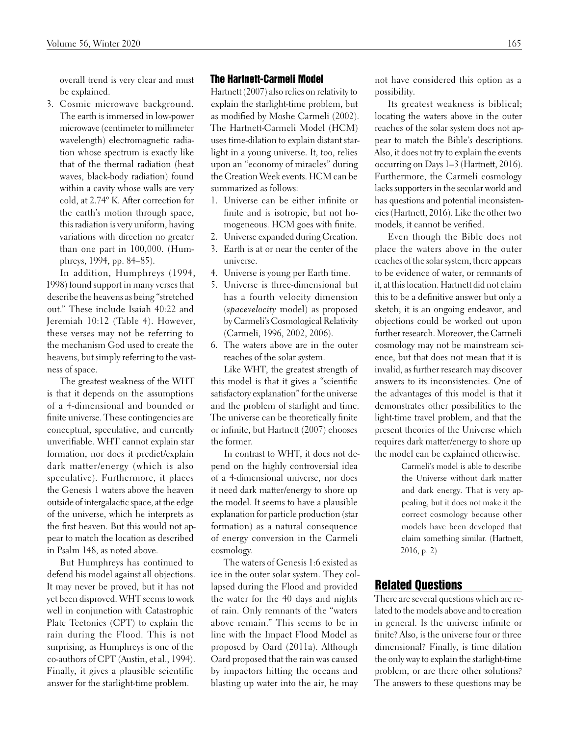overall trend is very clear and must be explained.

3. Cosmic microwave background. The earth is immersed in low-power microwave (centimeter to millimeter wavelength) electromagnetic radiation whose spectrum is exactly like that of the thermal radiation (heat waves, black-body radiation) found within a cavity whose walls are very cold, at 2.74º K. After correction for the earth's motion through space, this radiation is very uniform, having variations with direction no greater than one part in 100,000. (Humphreys, 1994, pp. 84–85).

In addition, Humphreys (1994, 1998) found support in many verses that describe the heavens as being "stretched out." These include Isaiah 40:22 and Jeremiah 10:12 (Table 4). However, these verses may not be referring to the mechanism God used to create the heavens, but simply referring to the vastness of space.

The greatest weakness of the WHT is that it depends on the assumptions of a 4-dimensional and bounded or finite universe. These contingencies are conceptual, speculative, and currently unverifiable. WHT cannot explain star formation, nor does it predict/explain dark matter/energy (which is also speculative). Furthermore, it places the Genesis 1 waters above the heaven outside of intergalactic space, at the edge of the universe, which he interprets as the first heaven. But this would not appear to match the location as described in Psalm 148, as noted above.

But Humphreys has continued to defend his model against all objections. It may never be proved, but it has not yet been disproved. WHT seems to work well in conjunction with Catastrophic Plate Tectonics (CPT) to explain the rain during the Flood. This is not surprising, as Humphreys is one of the co-authors of CPT (Austin, et al., 1994). Finally, it gives a plausible scientific answer for the starlight-time problem.

#### The Hartnett-Carmeli Model

Hartnett (2007) also relies on relativity to explain the starlight-time problem, but as modified by Moshe Carmeli (2002). The Hartnett-Carmeli Model (HCM) uses time-dilation to explain distant starlight in a young universe. It, too, relies upon an "economy of miracles" during the Creation Week events. HCM can be summarized as follows:

- 1. Universe can be either infinite or finite and is isotropic, but not homogeneous. HCM goes with finite.
- 2. Universe expanded during Creation.
- 3. Earth is at or near the center of the universe.
- 4. Universe is young per Earth time.
- 5. Universe is three-dimensional but has a fourth velocity dimension (*spacevelocity* model) as proposed by Carmeli's Cosmological Relativity (Carmeli, 1996, 2002, 2006).
- 6. The waters above are in the outer reaches of the solar system.

Like WHT, the greatest strength of this model is that it gives a "scientific satisfactory explanation" for the universe and the problem of starlight and time. The universe can be theoretically finite or infinite, but Hartnett (2007) chooses the former.

In contrast to WHT, it does not depend on the highly controversial idea of a 4-dimensional universe, nor does it need dark matter/energy to shore up the model. It seems to have a plausible explanation for particle production (star formation) as a natural consequence of energy conversion in the Carmeli cosmology.

The waters of Genesis 1:6 existed as ice in the outer solar system. They collapsed during the Flood and provided the water for the 40 days and nights of rain. Only remnants of the "waters above remain." This seems to be in line with the Impact Flood Model as proposed by Oard (2011a). Although Oard proposed that the rain was caused by impactors hitting the oceans and blasting up water into the air, he may

not have considered this option as a possibility.

Its greatest weakness is biblical; locating the waters above in the outer reaches of the solar system does not appear to match the Bible's descriptions. Also, it does not try to explain the events occurring on Days 1–3 (Hartnett, 2016). Furthermore, the Carmeli cosmology lacks supporters in the secular world and has questions and potential inconsistencies (Hartnett, 2016). Like the other two models, it cannot be verified.

Even though the Bible does not place the waters above in the outer reaches of the solar system, there appears to be evidence of water, or remnants of it, at this location. Hartnett did not claim this to be a definitive answer but only a sketch; it is an ongoing endeavor, and objections could be worked out upon further research. Moreover, the Carmeli cosmology may not be mainstream science, but that does not mean that it is invalid, as further research may discover answers to its inconsistencies. One of the advantages of this model is that it demonstrates other possibilities to the light-time travel problem, and that the present theories of the Universe which requires dark matter/energy to shore up the model can be explained otherwise.

> Carmeli's model is able to describe the Universe without dark matter and dark energy. That is very appealing, but it does not make it the correct cosmology because other models have been developed that claim something similar. (Hartnett, 2016, p. 2)

## Related Questions

There are several questions which are related to the models above and to creation in general. Is the universe infinite or finite? Also, is the universe four or three dimensional? Finally, is time dilation the only way to explain the starlight-time problem, or are there other solutions? The answers to these questions may be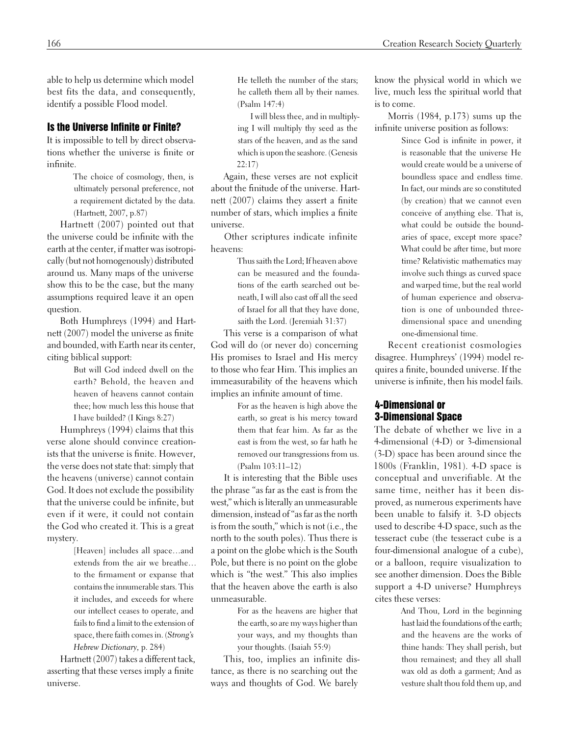able to help us determine which model best fits the data, and consequently, identify a possible Flood model.

# Is the Universe Infinite or Finite?

It is impossible to tell by direct observations whether the universe is finite or infinite.

> The choice of cosmology, then, is ultimately personal preference, not a requirement dictated by the data. (Hartnett, 2007, p.87)

Hartnett (2007) pointed out that the universe could be infinite with the earth at the center, if matter was isotropically (but not homogenously) distributed around us. Many maps of the universe show this to be the case, but the many assumptions required leave it an open question.

Both Humphreys (1994) and Hartnett (2007) model the universe as finite and bounded, with Earth near its center, citing biblical support:

> But will God indeed dwell on the earth? Behold, the heaven and heaven of heavens cannot contain thee; how much less this house that I have builded? (I Kings 8:27)

Humphreys (1994) claims that this verse alone should convince creationists that the universe is finite. However, the verse does not state that: simply that the heavens (universe) cannot contain God. It does not exclude the possibility that the universe could be infinite, but even if it were, it could not contain the God who created it. This is a great mystery.

> [Heaven] includes all space…and extends from the air we breathe… to the firmament or expanse that contains the innumerable stars. This it includes, and exceeds for where our intellect ceases to operate, and fails to find a limit to the extension of space, there faith comes in. (*Strong's Hebrew Dictionary,* p. 284)

Hartnett (2007) takes a different tack, asserting that these verses imply a finite universe.

He telleth the number of the stars; he calleth them all by their names. (Psalm 147:4)

I will bless thee, and in multiplying I will multiply thy seed as the stars of the heaven, and as the sand which is upon the seashore. (Genesis 22:17)

Again, these verses are not explicit about the finitude of the universe. Hartnett (2007) claims they assert a finite number of stars, which implies a finite universe.

Other scriptures indicate infinite heavens:

> Thus saith the Lord; If heaven above can be measured and the foundations of the earth searched out beneath, I will also cast off all the seed of Israel for all that they have done, saith the Lord. (Jeremiah 31:37)

This verse is a comparison of what God will do (or never do) concerning His promises to Israel and His mercy to those who fear Him. This implies an immeasurability of the heavens which implies an infinite amount of time.

> For as the heaven is high above the earth, so great is his mercy toward them that fear him. As far as the east is from the west, so far hath he removed our transgressions from us. (Psalm 103:11–12)

It is interesting that the Bible uses the phrase "as far as the east is from the west," which is literally an unmeasurable dimension, instead of "as far as the north is from the south," which is not (i.e., the north to the south poles). Thus there is a point on the globe which is the South Pole, but there is no point on the globe which is "the west." This also implies that the heaven above the earth is also unmeasurable.

> For as the heavens are higher that the earth, so are my ways higher than your ways, and my thoughts than your thoughts. (Isaiah 55:9)

This, too, implies an infinite distance, as there is no searching out the ways and thoughts of God. We barely

know the physical world in which we live, much less the spiritual world that is to come.

Morris (1984, p.173) sums up the infinite universe position as follows:

> Since God is infinite in power, it is reasonable that the universe He would create would be a universe of boundless space and endless time. In fact, our minds are so constituted (by creation) that we cannot even conceive of anything else. That is, what could be outside the boundaries of space, except more space? What could be after time, but more time? Relativistic mathematics may involve such things as curved space and warped time, but the real world of human experience and observation is one of unbounded threedimensional space and unending one-dimensional time.

Recent creationist cosmologies disagree. Humphreys' (1994) model requires a finite, bounded universe. If the universe is infinite, then his model fails.

# 4-Dimensional or 3-Dimensional Space

The debate of whether we live in a 4-dimensional (4-D) or 3-dimensional (3-D) space has been around since the 1800s (Franklin, 1981). 4-D space is conceptual and unverifiable. At the same time, neither has it been disproved, as numerous experiments have been unable to falsify it. 3-D objects used to describe 4-D space, such as the tesseract cube (the tesseract cube is a four-dimensional analogue of a cube), or a balloon, require visualization to see another dimension. Does the Bible support a 4-D universe? Humphreys cites these verses:

> And Thou, Lord in the beginning hast laid the foundations of the earth; and the heavens are the works of thine hands: They shall perish, but thou remainest; and they all shall wax old as doth a garment; And as vesture shalt thou fold them up, and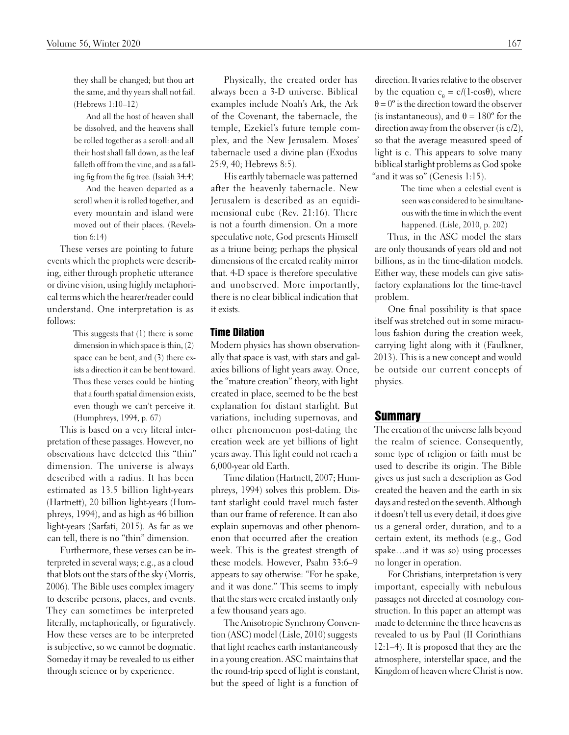they shall be changed; but thou art the same, and thy years shall not fail. (Hebrews 1:10–12)

And all the host of heaven shall be dissolved, and the heavens shall be rolled together as a scroll: and all their host shall fall down, as the leaf falleth off from the vine, and as a falling fig from the fig tree. (Isaiah 34:4)

And the heaven departed as a scroll when it is rolled together, and every mountain and island were moved out of their places. (Revelation 6:14)

These verses are pointing to future events which the prophets were describing, either through prophetic utterance or divine vision, using highly metaphorical terms which the hearer/reader could understand. One interpretation is as follows:

> This suggests that (1) there is some dimension in which space is thin, (2) space can be bent, and (3) there exists a direction it can be bent toward. Thus these verses could be hinting that a fourth spatial dimension exists, even though we can't perceive it. (Humphreys, 1994, p. 67)

This is based on a very literal interpretation of these passages. However, no observations have detected this "thin" dimension. The universe is always described with a radius. It has been estimated as 13.5 billion light-years (Hartnett), 20 billion light-years (Humphreys, 1994), and as high as 46 billion light-years (Sarfati, 2015). As far as we can tell, there is no "thin" dimension.

Furthermore, these verses can be interpreted in several ways; e.g., as a cloud that blots out the stars of the sky (Morris, 2006). The Bible uses complex imagery to describe persons, places, and events. They can sometimes be interpreted literally, metaphorically, or figuratively. How these verses are to be interpreted is subjective, so we cannot be dogmatic. Someday it may be revealed to us either through science or by experience.

Physically, the created order has always been a 3-D universe. Biblical examples include Noah's Ark, the Ark of the Covenant, the tabernacle, the temple, Ezekiel's future temple complex, and the New Jerusalem. Moses' tabernacle used a divine plan (Exodus 25:9, 40; Hebrews 8:5).

His earthly tabernacle was patterned after the heavenly tabernacle. New Jerusalem is described as an equidimensional cube (Rev. 21:16). There is not a fourth dimension. On a more speculative note, God presents Himself as a triune being; perhaps the physical dimensions of the created reality mirror that. 4-D space is therefore speculative and unobserved. More importantly, there is no clear biblical indication that it exists.

#### Time Dilation

Modern physics has shown observationally that space is vast, with stars and galaxies billions of light years away. Once, the "mature creation" theory, with light created in place, seemed to be the best explanation for distant starlight. But variations, including supernovas, and other phenomenon post-dating the creation week are yet billions of light years away. This light could not reach a 6,000-year old Earth.

Time dilation (Hartnett, 2007; Humphreys, 1994) solves this problem. Distant starlight could travel much faster than our frame of reference. It can also explain supernovas and other phenomenon that occurred after the creation week. This is the greatest strength of these models. However, Psalm 33:6–9 appears to say otherwise: "For he spake, and it was done." This seems to imply that the stars were created instantly only a few thousand years ago.

The Anisotropic Synchrony Convention (ASC) model (Lisle, 2010) suggests that light reaches earth instantaneously in a young creation. ASC maintains that the round-trip speed of light is constant, but the speed of light is a function of

direction. It varies relative to the observer by the equation  $c_{\theta} = c/(1-\cos\theta)$ , where  $\theta = 0^\circ$  is the direction toward the observer (is instantaneous), and  $\theta = 180^\circ$  for the direction away from the observer (is c/2), so that the average measured speed of light is c. This appears to solve many biblical starlight problems as God spoke "and it was so" (Genesis 1:15).

> The time when a celestial event is seen was considered to be simultaneous with the time in which the event happened. (Lisle, 2010, p. 202)

Thus, in the ASC model the stars are only thousands of years old and not billions, as in the time-dilation models. Either way, these models can give satisfactory explanations for the time-travel problem.

One final possibility is that space itself was stretched out in some miraculous fashion during the creation week, carrying light along with it (Faulkner, 2013). This is a new concept and would be outside our current concepts of physics.

#### Summary

The creation of the universe falls beyond the realm of science. Consequently, some type of religion or faith must be used to describe its origin. The Bible gives us just such a description as God created the heaven and the earth in six days and rested on the seventh. Although it doesn't tell us every detail, it does give us a general order, duration, and to a certain extent, its methods (e.g., God spake…and it was so) using processes no longer in operation.

For Christians, interpretation is very important, especially with nebulous passages not directed at cosmology construction. In this paper an attempt was made to determine the three heavens as revealed to us by Paul (II Corinthians 12:1–4). It is proposed that they are the atmosphere, interstellar space, and the Kingdom of heaven where Christ is now.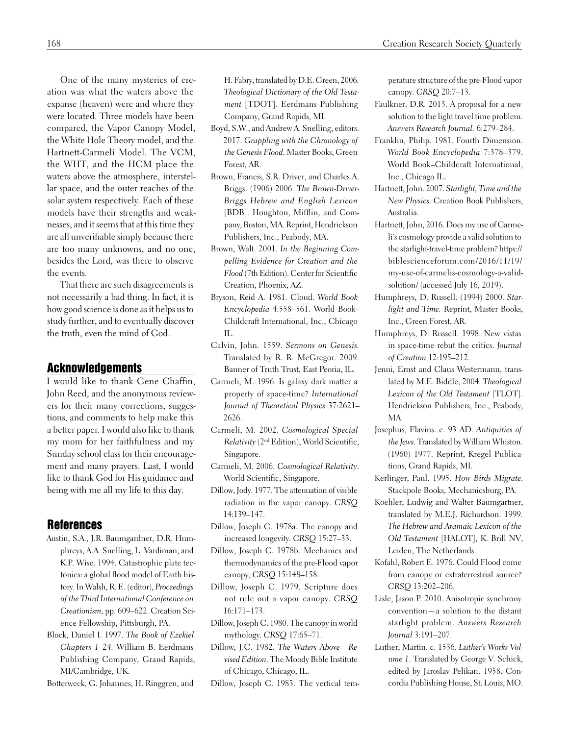One of the many mysteries of creation was what the waters above the expanse (heaven) were and where they were located. Three models have been compared, the Vapor Canopy Model, the White Hole Theory model, and the Hartnett-Carmeli Model. The VCM, the WHT, and the HCM place the waters above the atmosphere, interstellar space, and the outer reaches of the solar system respectively. Each of these models have their strengths and weaknesses, and it seems that at this time they are all unverifiable simply because there are too many unknowns, and no one, besides the Lord, was there to observe the events.

That there are such disagreements is not necessarily a bad thing. In fact, it is how good science is done as it helps us to study further, and to eventually discover the truth, even the mind of God.

# Acknowledgements

I would like to thank Gene Chaffin, John Reed, and the anonymous reviewers for their many corrections, suggestions, and comments to help make this a better paper. I would also like to thank my mom for her faithfulness and my Sunday school class for their encouragement and many prayers. Last, I would like to thank God for His guidance and being with me all my life to this day.

## References

- Austin, S.A., J.R. Baumgardner, D.R. Humphreys, A.A. Snelling, L. Vardiman, and K.P. Wise. 1994. Catastrophic plate tectonics: a global flood model of Earth history. In Walsh, R. E. (editor), *Proceedings of the Third International Conference on Creationism,* pp. 609–622. Creation Science Fellowship, Pittsburgh, PA.
- Block, Daniel I. 1997. *The Book of Ezekiel Chapters 1–24.* William B. Eerdmans Publishing Company, Grand Rapids, MI/Cambridge, UK.
- Botterweck, G. Johannes, H. Ringgren, and

H. Fabry, translated by D.E. Green, 2006. *Theological Dictionary of the Old Testament* [TDOT]. Eerdmans Publishing Company, Grand Rapids, MI.

- Boyd, S.W., and Andrew A. Snelling, editors. 2017. *Grappling with the Chronology of the Genesis Flood*. Master Books, Green Forest, AR.
- Brown, Francis, S.R. Driver, and Charles A. Briggs. (1906) 2006. *The Brown-Driver-Briggs Hebrew and English Lexicon*  [BDB]. Houghton, Mifflin, and Company, Boston, MA. Reprint, Hendrickson Publishers, Inc., Peabody, MA.
- Brown, Walt. 2001. *In the Beginning Compelling Evidence for Creation and the Flood* (7th Edition). Center for Scientific Creation, Phoenix, AZ.
- Bryson, Reid A. 1981. Cloud. *World Book Encyclopedia* 4:558–561. World Book– Childcraft International, Inc., Chicago IL.
- Calvin, John. 1559. *Sermons on Genesis.* Translated by R. R. McGregor. 2009. Banner of Truth Trust, East Peoria, IL.
- Carmeli, M. 1996. Is galaxy dark matter a property of space-time? *International Journal of Theoretical Physics* 37:2621– 2626.
- Carmeli, M. 2002. *Cosmological Special Relativity* (2nd Edition), World Scientific, Singapore.
- Carmeli, M. 2006. *Cosmological Relativity*. World Scientific, Singapore.
- Dillow, Jody. 1977. The attenuation of visible radiation in the vapor canopy. *CRSQ* 14:139–147.
- Dillow, Joseph C. 1978a. The canopy and increased longevity. *CRSQ* 15:27–33.
- Dillow, Joseph C. 1978b. Mechanics and thermodynamics of the pre-Flood vapor canopy, *CRSQ* 15:148–158.
- Dillow, Joseph C. 1979. Scripture does not rule out a vapor canopy. *CRSQ* 16:171–173.
- Dillow, Joseph C. 1980. The canopy in world mythology. *CRSQ* 17:65–71.
- Dillow, J.C. 1982. *The Waters Above—Revised Edition*. The Moody Bible Institute of Chicago, Chicago, IL.
- Dillow, Joseph C. 1983. The vertical tem-

perature structure of the pre-Flood vapor canopy. *CRSQ* 20:7–13.

- Faulkner, D.R. 2013. A proposal for a new solution to the light travel time problem. *Answers Research Journal.* 6:279–284.
- Franklin, Philip. 1981. Fourth Dimension. *World Book Encyclopedia* 7:378–379. World Book–Childcraft International, Inc., Chicago IL.
- Hartnett, John. 2007. *Starlight, Time and the New Physics.* Creation Book Publishers, Australia.
- Hartnett, John, 2016. Does my use of Carmeli's cosmology provide a valid solution to the starlight-travel-time problem? [https://](https://biblescienceforum.com/2016/11/19/my-use-of-carmelis-cosmology-a-valid-solution/) [biblescienceforum.com/2016/11/19/](https://biblescienceforum.com/2016/11/19/my-use-of-carmelis-cosmology-a-valid-solution/) [my-use-of-carmelis-cosmology-a-valid](https://biblescienceforum.com/2016/11/19/my-use-of-carmelis-cosmology-a-valid-solution/)[solution/](https://biblescienceforum.com/2016/11/19/my-use-of-carmelis-cosmology-a-valid-solution/) (accessed July 16, 2019).
- Humphreys, D. Russell. (1994) 2000. *Starlight and Time.* Reprint, Master Books, Inc., Green Forest, AR.
- Humphreys, D. Russell. 1998. New vistas in space-time rebut the critics. *Journal of Creation* 12:195–212.
- Jenni, Ernst and Claus Westermann, translated by M.E. Biddle, 2004. *Theological Lexicon of the Old Testament* [TLOT]. Hendrickson Publishers, Inc., Peabody, MA.
- Josephus, Flavius. c. 93 AD. *Antiquities of the Jews*. Translated by William Whiston. (1960) 1977. Reprint, Kregel Publications, Grand Rapids, MI.
- Kerlinger, Paul. 1995. *How Birds Migrate.* Stackpole Books, Mechanicsburg, PA.
- Koehler, Ludwig and Walter Baumgartner, translated by M.E.J. Richardson. 1999. *The Hebrew and Aramaic Lexicon of the Old Testament* [HALOT], K. Brill NV, Leiden, The Netherlands.
- Kofahl, Robert E. 1976. Could Flood come from canopy or extraterrestrial source? *CRSQ* 13:202–206.
- Lisle, Jason P. 2010. Anisotropic synchrony convention—a solution to the distant starlight problem. *Answers Research Journal* 3:191–207.
- Luther, Martin. c. 1536. *Luther's Works Volume 1*. Translated by George V. Schick, edited by Jaroslav Pelikan. 1958. Concordia Publishing House, St. Louis, MO.